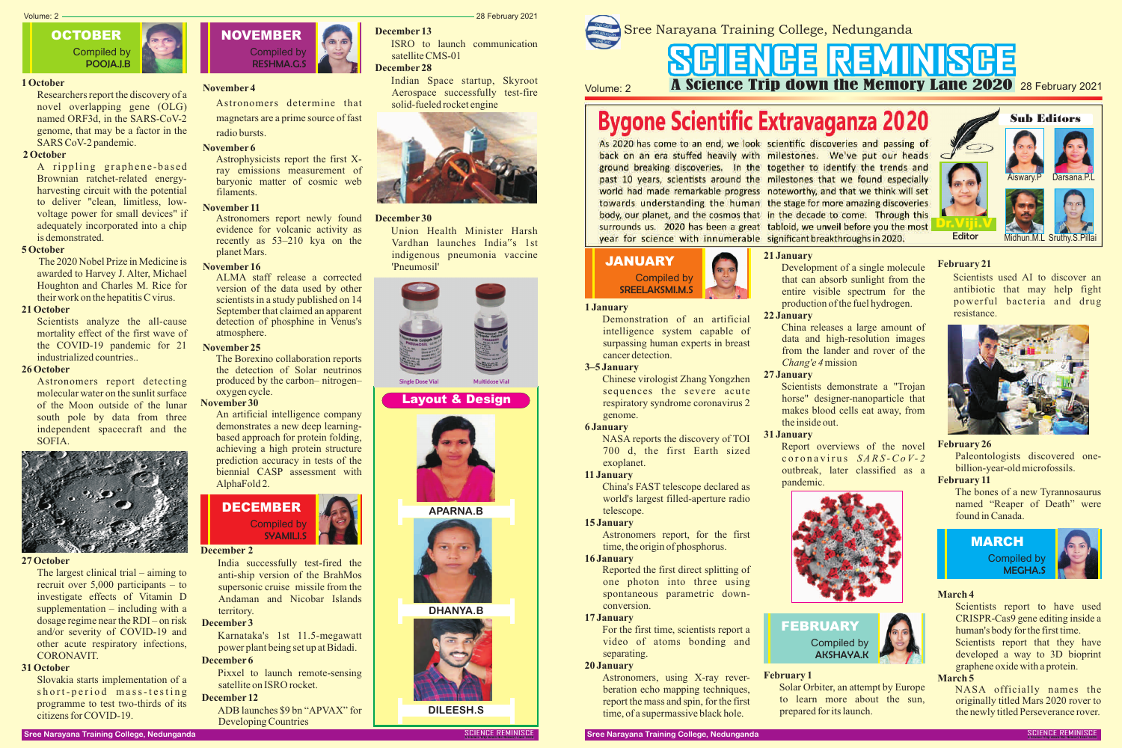

# **Bygone Scientific Extravaganza 2020**

As 2020 has come to an end, we look scientific discoveries and passing of back on an era stuffed heavily with milestones. We've put our heads ground breaking discoveries. In the together to identify the trends and past 10 years, scientists around the milestones that we found especially world had made remarkable progress noteworthy, and that we think will set towards understanding the human the stage for more amazing discoveries body, our planet, and the cosmos that in the decade to come. Through this surrounds us. 2020 has been a great tabloid, we unveil before you the most year for science with innumerable significant breakthroughs in 2020.

#### **1 January**

Demonstration of an artificial intelligence system capable of surpassing human experts in breast cancer detection.

#### **3–5 January**

Chinese virologist Zhang Yongzhen sequences the severe acute respiratory syndrome coronavirus 2 genome.

#### **6 January**

NASA reports the discovery of TOI 700 d, the first Earth sized exoplanet.

### **11 January**

China's FAST telescope declared as world's largest filled-aperture radio telescope.

#### **15 January**

Astronomers report, for the first time, the origin of phosphorus.

#### **16 January**

Reported the first direct splitting of one photon into three using spontaneous parametric downconversion.

#### **17 January**

For the first time, scientists report a video of atoms bonding and separating.

#### **20 January**

Astronomers, using X-ray reverberation echo mapping techniques, report the mass and spin, for the first time, of a supermassive black hole.

# SGIENGE REMINISGE Volume: 2 **A Science Trip down the Memory Lane 2020** 28 February 2021





Scientists report to have used CRISPR-Cas9 gene editing inside a human's body for the first time.

# **21 January**

Scientists report that they have developed a way to 3D bioprint graphene oxide with a protein.

Development of a single molecule that can absorb sunlight from the entire visible spectrum for the production of the fuel hydrogen.

# **22 January**

China releases a large amount of data and high-resolution images from the lander and rover of the *Chang'e 4*mission

# **27 January**

A rippling graphene-based Brownian ratchet-related energyharvesting circuit with the potential to deliver "clean, limitless, lowvoltage power for small devices" if adequately incorporated into a chip is demonstrated.

> Scientists demonstrate a "Trojan horse" designer-nanoparticle that makes blood cells eat away, from the inside out.

# **31 January**

Report overviews of the novel c o r o n a v ir u s *S A R S -Co V- 2* outbreak, later classified as a pandemic.



# **FEBRUARY** Compiled by

AKSHAYA.K



# **February 1**

Solar Orbiter, an attempt by Europe to learn more about the sun, prepared for its launch.

### **February 21**

Scientists used AI to discover an antibiotic that may help fight powerful bacteria and drug resistance.



# **February 26**

Paleontologists discovered onebillion-year-old microfossils.

# **February 11**

The bones of a new Tyrannosaurus named "Reaper of Death" were found in Canada.



# **March 4**

# **March 5**

NASA officially names the originally titled Mars 2020 rover to the newly titled Perseverance rover.

### **1 October**

Researchers report the discovery of a novel overlapping gene (OLG) named ORF3d, in the SARS-CoV-2 genome, that may be a factor in the SARS CoV-2 pandemic.

#### **2 October**

#### **5 October**

The 2020 Nobel Prize in Medicine is awarded to Harvey J. Alter, Michael Houghton and Charles M. Rice for their work on the hepatitis C virus.

# **21 October**

Scientists analyze the all-cause mortality effect of the first wave of the COVID-19 pandemic for 21 industrialized countries..

### **26 October**

Astronomers report detecting molecular water on the sunlit surface of the Moon outside of the lunar south pole by data from three independent spacecraft and the SOFIA.



#### **27 October**

The largest clinical trial – aiming to recruit over 5,000 participants – to investigate effects of Vitamin D supplementation – including with a dosage regime near the RDI – on risk and/or severity of COVID-19 and other acute respiratory infections, CORONAVIT.

### **31 October**

Slovakia starts implementation of a short-period mass-testing programme to test two-thirds of its citizens for COVID-19.

# **November 4**

Astronomers determine that magnetars are a prime source of fast radio bursts.

#### **November 6**

Astrophysicists report the first Xray emissions measurement of baryonic matter of cosmic web filaments.

## **November 11**

Astronomers report newly found evidence for volcanic activity as recently as 53–210 kya on the planet Mars.

#### **November 16**

ALMA staff release a corrected version of the data used by other scientists in a study published on 14 September that claimed an apparent detection of phosphine in Venus's atmosphere.

# **November 25**

The Borexino collaboration reports the detection of Solar neutrinos produced by the carbon– nitrogen– oxygen cycle.

# **November 30**

An artificial intelligence company demonstrates a new deep learningbased approach for protein folding, achieving a high protein structure prediction accuracy in tests of the biennial CASP assessment with AlphaFold 2.







# **December 2**

India successfully test-fired the anti-ship version of the BrahMos supersonic cruise missile from the Andaman and Nicobar Islands territory.

### **December 3**

Karnataka's 1st 11.5-megawatt power plant being set up at Bidadi.

# **December 6**

Pixxel to launch remote-sensing satellite on ISRO rocket.

#### **December 12**

ADB launches \$9 bn "APVAX" for Developing Countries

Volume: 2 28 February 2021

#### **December 13**

ISRO to launch communication satellite CMS-01

# **December 28**

Indian Space startup, Skyroot Aerospace successfully test-fire solid-fueled rocket engine



#### **December 30**

Union Health Minister Harsh Vardhan launches India"s 1st indigenous pneumonia vaccine 'Pneumosil'



# **Layout & Design**



**APARNA.B**



**DHANYA.B**



**DILEESH.S**